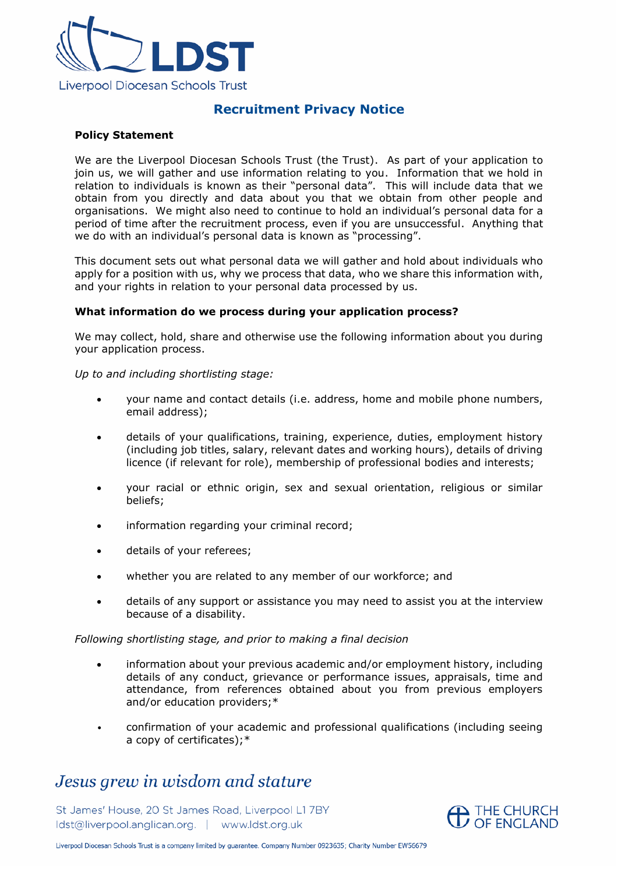

## **Recruitment Privacy Notice**

## **Policy Statement**

We are the Liverpool Diocesan Schools Trust (the Trust). As part of your application to join us, we will gather and use information relating to you. Information that we hold in relation to individuals is known as their "personal data". This will include data that we obtain from you directly and data about you that we obtain from other people and organisations. We might also need to continue to hold an individual's personal data for a period of time after the recruitment process, even if you are unsuccessful. Anything that we do with an individual's personal data is known as "processing".

This document sets out what personal data we will gather and hold about individuals who apply for a position with us, why we process that data, who we share this information with, and your rights in relation to your personal data processed by us.

## **What information do we process during your application process?**

We may collect, hold, share and otherwise use the following information about you during your application process.

*Up to and including shortlisting stage:*

- your name and contact details (i.e. address, home and mobile phone numbers, email address);
- details of your qualifications, training, experience, duties, employment history (including job titles, salary, relevant dates and working hours), details of driving licence (if relevant for role), membership of professional bodies and interests;
- your racial or ethnic origin, sex and sexual orientation, religious or similar beliefs;
- information regarding your criminal record;
- details of your referees;
- whether you are related to any member of our workforce; and
- details of any support or assistance you may need to assist you at the interview because of a disability.

## *Following shortlisting stage, and prior to making a final decision*

- information about your previous academic and/or employment history, including details of any conduct, grievance or performance issues, appraisals, time and attendance, from references obtained about you from previous employers and/or education providers;\*
- confirmation of your academic and professional qualifications (including seeing a copy of certificates);\*

# Jesus grew in wisdom and stature

St James' House, 20 St James Road, Liverpool L1 7BY ldst@liverpool.anglican.org. | www.ldst.org.uk



Liverpool Diocesan Schools Trust is a company limited by guarantee. Company Number 0923635; Charity Number EW56679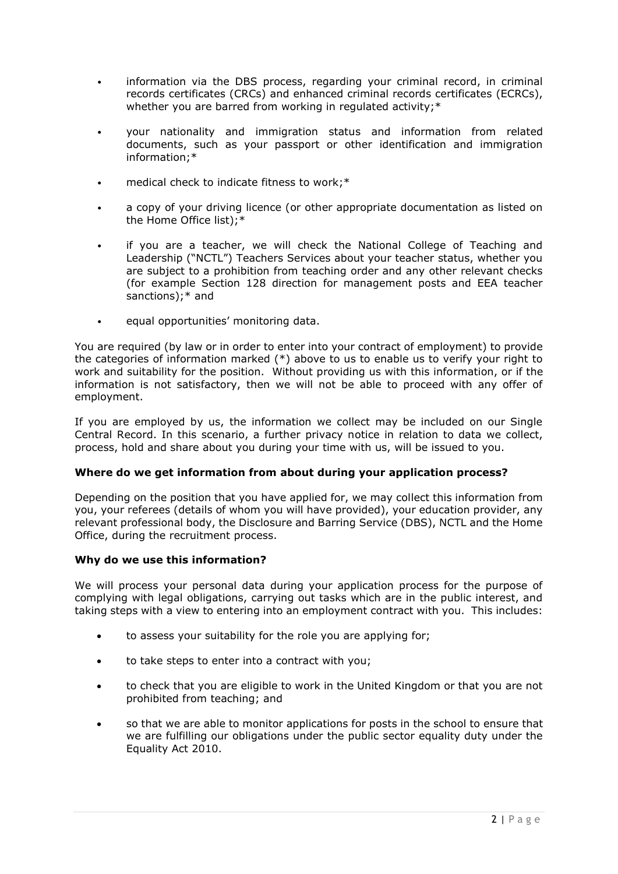- information via the DBS process, regarding your criminal record, in criminal records certificates (CRCs) and enhanced criminal records certificates (ECRCs), whether you are barred from working in regulated activity;\*
- your nationality and immigration status and information from related documents, such as your passport or other identification and immigration information;\*
- medical check to indicate fitness to work;\*
- a copy of your driving licence (or other appropriate documentation as listed on the Home Office list);\*
- if you are a teacher, we will check the National College of Teaching and Leadership ("NCTL") Teachers Services about your teacher status, whether you are subject to a prohibition from teaching order and any other relevant checks (for example Section 128 direction for management posts and EEA teacher sanctions);<sup>\*</sup> and
- equal opportunities' monitoring data.

You are required (by law or in order to enter into your contract of employment) to provide the categories of information marked (\*) above to us to enable us to verify your right to work and suitability for the position. Without providing us with this information, or if the information is not satisfactory, then we will not be able to proceed with any offer of employment.

If you are employed by us, the information we collect may be included on our Single Central Record. In this scenario, a further privacy notice in relation to data we collect, process, hold and share about you during your time with us, will be issued to you.

## **Where do we get information from about during your application process?**

Depending on the position that you have applied for, we may collect this information from you, your referees (details of whom you will have provided), your education provider, any relevant professional body, the Disclosure and Barring Service (DBS), NCTL and the Home Office, during the recruitment process.

## **Why do we use this information?**

We will process your personal data during your application process for the purpose of complying with legal obligations, carrying out tasks which are in the public interest, and taking steps with a view to entering into an employment contract with you. This includes:

- to assess your suitability for the role you are applying for;
- to take steps to enter into a contract with you;
- to check that you are eligible to work in the United Kingdom or that you are not prohibited from teaching; and
- so that we are able to monitor applications for posts in the school to ensure that we are fulfilling our obligations under the public sector equality duty under the Equality Act 2010.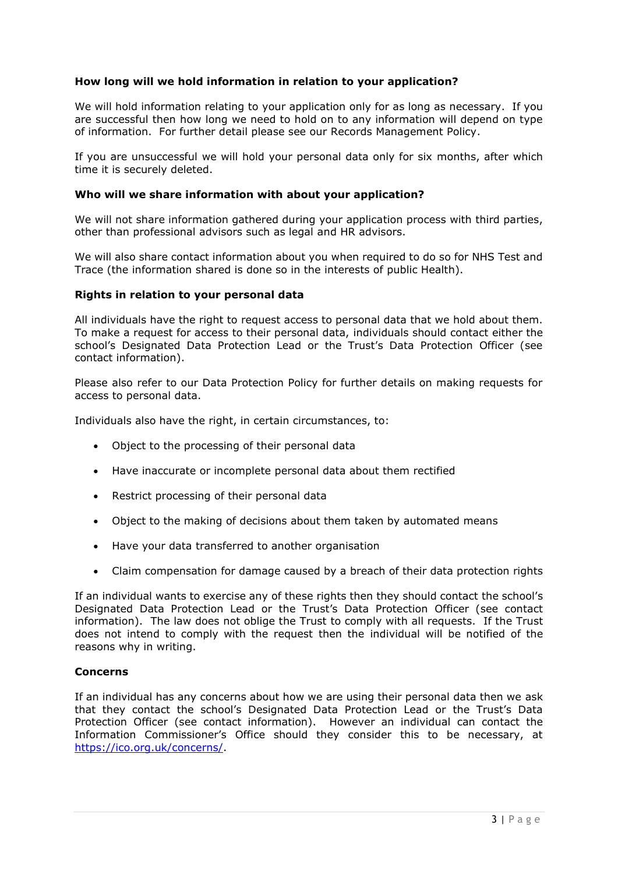## **How long will we hold information in relation to your application?**

We will hold information relating to your application only for as long as necessary. If you are successful then how long we need to hold on to any information will depend on type of information. For further detail please see our Records Management Policy.

If you are unsuccessful we will hold your personal data only for six months, after which time it is securely deleted.

## **Who will we share information with about your application?**

We will not share information gathered during your application process with third parties, other than professional advisors such as legal and HR advisors.

We will also share contact information about you when required to do so for NHS Test and Trace (the information shared is done so in the interests of public Health).

## **Rights in relation to your personal data**

All individuals have the right to request access to personal data that we hold about them. To make a request for access to their personal data, individuals should contact either the school's Designated Data Protection Lead or the Trust's Data Protection Officer (see contact information).

Please also refer to our Data Protection Policy for further details on making requests for access to personal data.

Individuals also have the right, in certain circumstances, to:

- Object to the processing of their personal data
- Have inaccurate or incomplete personal data about them rectified
- Restrict processing of their personal data
- Object to the making of decisions about them taken by automated means
- Have your data transferred to another organisation
- Claim compensation for damage caused by a breach of their data protection rights

If an individual wants to exercise any of these rights then they should contact the school's Designated Data Protection Lead or the Trust's Data Protection Officer (see contact information). The law does not oblige the Trust to comply with all requests. If the Trust does not intend to comply with the request then the individual will be notified of the reasons why in writing.

## **Concerns**

If an individual has any concerns about how we are using their personal data then we ask that they contact the school's Designated Data Protection Lead or the Trust's Data Protection Officer (see contact information). However an individual can contact the Information Commissioner's Office should they consider this to be necessary, at [https://ico.org.uk/concerns/.](https://ico.org.uk/concerns/)